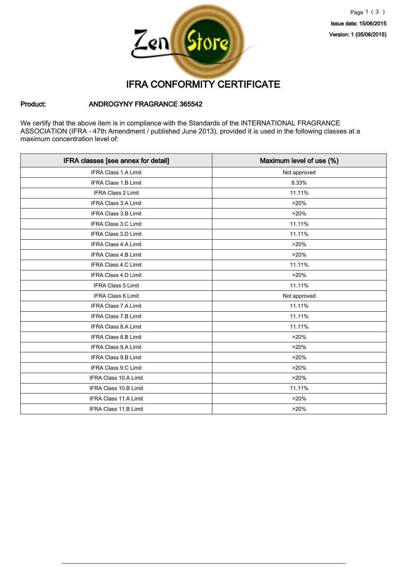

## IFRA CONFORMITY CERTIFICATE

#### Product: ANDROGYNY FRAGRANCE 365542

We certify that the above item is in compliance with the Standards of the INTERNATIONAL FRAGRANCE ASSOCIATION (IFRA - 47th Amendment / published June 2013), provided it is used in the following classes at a maximum concentration level of:

| IFRA classes [see annex for detail] | Maximum level of use (%) |
|-------------------------------------|--------------------------|
| <b>IFRA Class 1.A Limit</b>         | Not approved             |
| <b>IFRA Class 1.B Limit</b>         | 8.33%                    |
| IFRA Class 2 Limit                  | 11.11%                   |
| IFRA Class 3.A Limit                | >20%                     |
| <b>IFRA Class 3.B Limit</b>         | >20%                     |
| <b>IFRA Class 3.C Limit</b>         | 11.11%                   |
| <b>IFRA Class 3.D Limit</b>         | 11.11%                   |
| <b>IFRA Class 4.A Limit</b>         | >20%                     |
| <b>IFRA Class 4.B Limit</b>         | >20%                     |
| <b>IFRA Class 4.C Limit</b>         | 11.11%                   |
| <b>IFRA Class 4.D Limit</b>         | >20%                     |
| IFRA Class 5 Limit                  | 11.11%                   |
| IFRA Class 6 Limit                  | Not approved             |
| IFRA Class 7.A Limit                | 11.11%                   |
| IFRA Class 7.B Limit                | 11.11%                   |
| <b>IFRA Class 8.A Limit</b>         | 11.11%                   |
| IFRA Class 8.B Limit                | >20%                     |
| IFRA Class 9.A Limit                | >20%                     |
| <b>IFRA Class 9.B Limit</b>         | >20%                     |
| IFRA Class 9.C Limit                | >20%                     |
| <b>IFRA Class 10.A Limit</b>        | >20%                     |
| <b>IFRA Class 10.B Limit</b>        | 11.11%                   |
| <b>IFRA Class 11.A Limit</b>        | >20%                     |
| IFRA Class 11.B Limit               | >20%                     |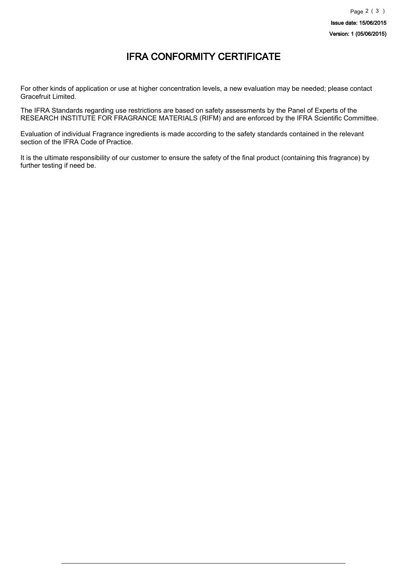## IFRA CONFORMITY CERTIFICATE

For other kinds of application or use at higher concentration levels, a new evaluation may be needed; please contact Gracefruit Limited.

The IFRA Standards regarding use restrictions are based on safety assessments by the Panel of Experts of the RESEARCH INSTITUTE FOR FRAGRANCE MATERIALS (RIFM) and are enforced by the IFRA Scientific Committee.

Evaluation of individual Fragrance ingredients is made according to the safety standards contained in the relevant section of the IFRA Code of Practice.

It is the ultimate responsibility of our customer to ensure the safety of the final product (containing this fragrance) by further testing if need be.